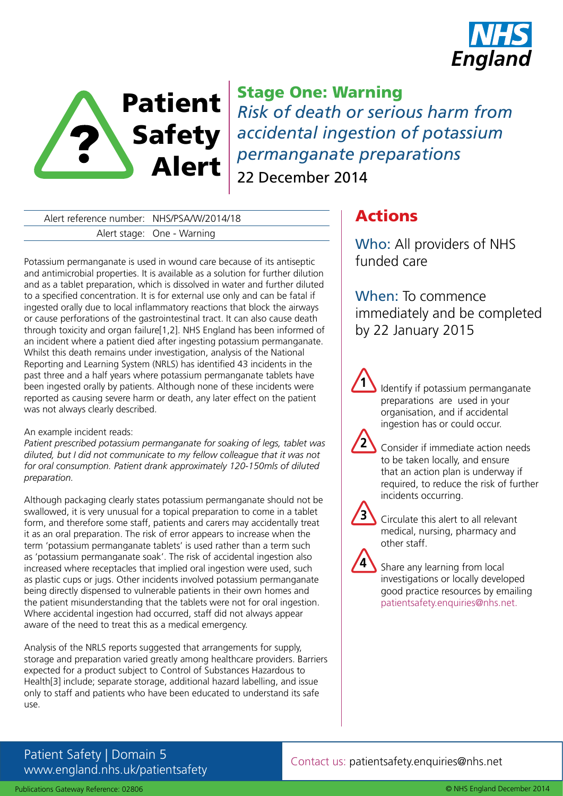



Stage One: Warning *Risk of death or serious harm from accidental ingestion of potassium permanganate preparations* 22 December 2014

Alert reference number: NHS/PSA/W/2014/18 Alert stage: One - Warning

Potassium permanganate is used in wound care because of its antiseptic and antimicrobial properties. It is available as a solution for further dilution and as a tablet preparation, which is dissolved in water and further diluted to a specified concentration. It is for external use only and can be fatal if ingested orally due to local inflammatory reactions that block the airways or cause perforations of the gastrointestinal tract. It can also cause death through toxicity and organ failure[1,2]. NHS England has been informed of an incident where a patient died after ingesting potassium permanganate. Whilst this death remains under investigation, analysis of the National Reporting and Learning System (NRLS) has identified 43 incidents in the past three and a half years where potassium permanganate tablets have been ingested orally by patients. Although none of these incidents were reported as causing severe harm or death, any later effect on the patient was not always clearly described.

### An example incident reads:

*Patient prescribed potassium permanganate for soaking of legs, tablet was diluted, but I did not communicate to my fellow colleague that it was not for oral consumption. Patient drank approximately 120-150mls of diluted preparation.* 

Although packaging clearly states potassium permanganate should not be swallowed, it is very unusual for a topical preparation to come in a tablet form, and therefore some staff, patients and carers may accidentally treat it as an oral preparation. The risk of error appears to increase when the term 'potassium permanganate tablets' is used rather than a term such as 'potassium permanganate soak'. The risk of accidental ingestion also increased where receptacles that implied oral ingestion were used, such as plastic cups or jugs. Other incidents involved potassium permanganate being directly dispensed to vulnerable patients in their own homes and the patient misunderstanding that the tablets were not for oral ingestion. Where accidental ingestion had occurred, staff did not always appear aware of the need to treat this as a medical emergency.

Analysis of the NRLS reports suggested that arrangements for supply, storage and preparation varied greatly among healthcare providers. Barriers expected for a product subject to Control of Substances Hazardous to Health[3] include; separate storage, additional hazard labelling, and issue only to staff and patients who have been educated to understand its safe use.

# Actions

Who: All providers of NHS funded care

When: To commence immediately and be completed by 22 January 2015

Identify if potassium permanganate preparations are used in your organisation, and if accidental ingestion has or could occur.

Consider if immediate action needs to be taken locally, and ensure that an action plan is underway if required, to reduce the risk of further incidents occurring.



**4**

**1**

**2**

Circulate this alert to all relevant medical, nursing, pharmacy and other staff.

Share any learning from local investigations or locally developed good practice resources by emailing patientsafety.enquiries@nhs.net.

## Patient Safety | Domain 5 www.england.nhs.uk/patientsafety

Contact us: patientsafety.enquiries@nhs.net